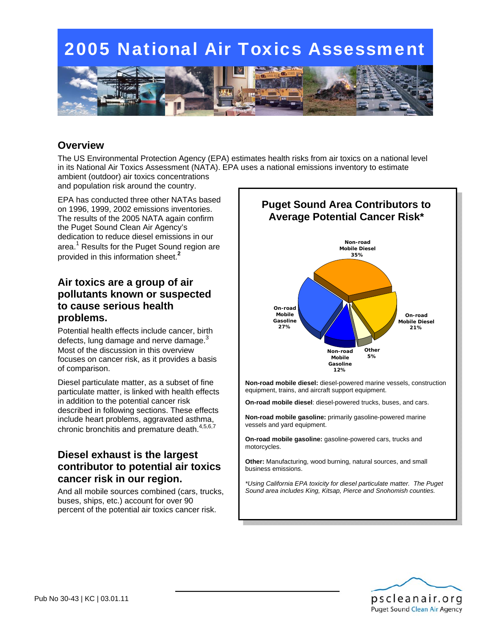

### **Overview**

The US Environmental Protection Agency (EPA) estimates health risks from air toxics on a national level in its National Air Toxics Assessment (NATA). EPA uses a national emissions inventory to estimate ambient (outdoor) air toxics concentrations and population risk around the country.

EPA has conducted three other NATAs based on 1996, 1999, 2002 emissions inventories. The results of the 2005 NATA again confirm the Puget Sound Clean Air Agency's dedication to reduce diesel emissions in our area.<sup>1</sup> Results for the Puget Sound region are provided in this information sheet.**<sup>2</sup>**

#### **Air toxics are a group of air pollutants known or suspected to cause serious health problems.**

Potential health effects include cancer, birth defects, lung damage and nerve damage. $^3$ Most of the discussion in this overview focuses on cancer risk, as it provides a basis of comparison.

Diesel particulate matter, as a subset of fine particulate matter, is linked with health effects in addition to the potential cancer risk described in following sections. These effects include heart problems, aggravated asthma, chronic bronchitis and premature death. $4,5,6,7$ 

#### **Diesel exhaust is the largest contributor to potential air toxics cancer risk in our region.**

And all mobile sources combined (cars, trucks, buses, ships, etc.) account for over 90 percent of the potential air toxics cancer risk.



**Non-road mobile diesel:** diesel-powered marine vessels, construction equipment, trains, and aircraft support equipment.

**On-road mobile diesel**: diesel-powered trucks, buses, and cars.

**Non-road mobile gasoline:** primarily gasoline-powered marine vessels and yard equipment.

**On-road mobile gasoline:** gasoline-powered cars, trucks and motorcycles.

**Other:** Manufacturing, wood burning, natural sources, and small business emissions.

*\*Using California EPA toxicity for diesel particulate matter. The Puget Sound area includes King, Kitsap, Pierce and Snohomish counties.*

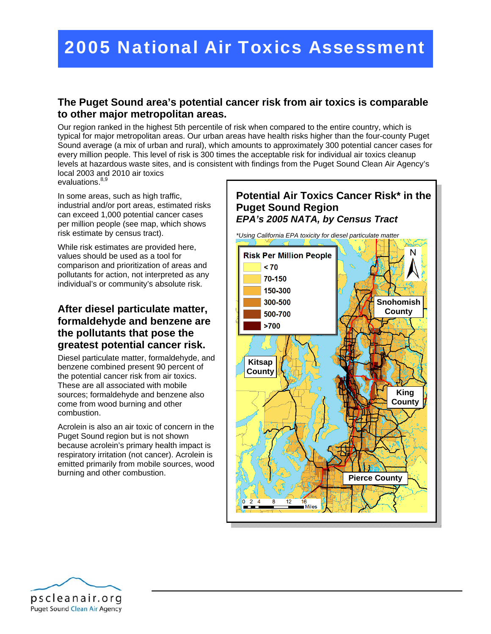#### **The Puget Sound area's potential cancer risk from air toxics is comparable to other major metropolitan areas.**

Our region ranked in the highest 5th percentile of risk when compared to the entire country, which is typical for major metropolitan areas. Our urban areas have health risks higher than the four-county Puget Sound average (a mix of urban and rural), which amounts to approximately 300 potential cancer cases for every million people. This level of risk is 300 times the acceptable risk for individual air toxics cleanup levels at hazardous waste sites, and is consistent with findings from the Puget Sound Clean Air Agency's local 2003 and 2010 air toxics evaluations.<sup>8,9</sup>

In some areas, such as high traffic, industrial and/or port areas, estimated risks can exceed 1,000 potential cancer cases per million people (see map, which shows risk estimate by census tract).

While risk estimates are provided here, values should be used as a tool for comparison and prioritization of areas and pollutants for action, not interpreted as any individual's or community's absolute risk.

#### **After diesel particulate matter, formaldehyde and benzene are the pollutants that pose the greatest potential cancer risk.**

Diesel particulate matter, formaldehyde, and benzene combined present 90 percent of the potential cancer risk from air toxics. These are all associated with mobile sources; formaldehyde and benzene also come from wood burning and other combustion.

Acrolein is also an air toxic of concern in the Puget Sound region but is not shown because acrolein's primary health impact is respiratory irritation (not cancer). Acrolein is emitted primarily from mobile sources, wood burning and other combustion.



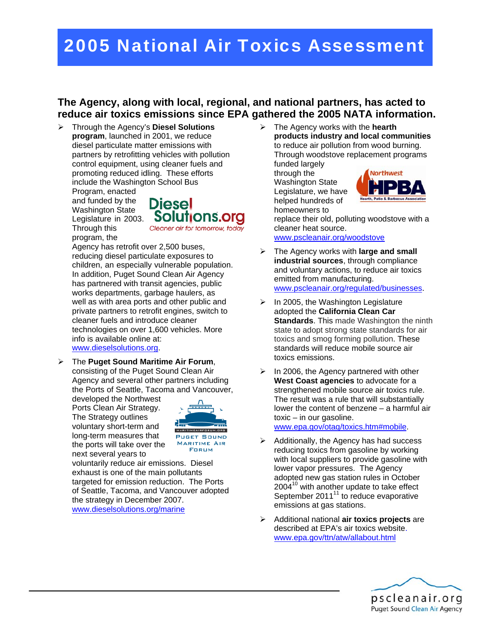### **The Agency, along with local, regional, and national partners, has acted to reduce air toxics emissions since EPA gathered the 2005 NATA information.**

 Through the Agency's **Diesel Solutions program**, launched in 2001, we reduce diesel particulate matter emissions with partners by retrofitting vehicles with pollution control equipment, using cleaner fuels and promoting reduced idling. These efforts include the Washington School Bus

Program, enacted and funded by the Washington State Through this program, the

**Diesel** Legislature in 2003. Solutions.org

Cleaner air for tomorrow, today

Agency has retrofit over 2,500 buses, reducing diesel particulate exposures to children, an especially vulnerable population. In addition, Puget Sound Clean Air Agency has partnered with transit agencies, public works departments, garbage haulers, as well as with area ports and other public and private partners to retrofit engines, switch to cleaner fuels and introduce cleaner technologies on over 1,600 vehicles. More info is available online at: www.dieselsolutions.org.

 The **Puget Sound Maritime Air Forum**, consisting of the Puget Sound Clean Air Agency and several other partners including the Ports of Seattle, Tacoma and Vancouver,

developed the Northwest Ports Clean Air Strategy. The Strategy outlines voluntary short-term and long-term measures that the ports will take over the next several years to



voluntarily reduce air emissions. Diesel exhaust is one of the main pollutants targeted for emission reduction. The Ports of Seattle, Tacoma, and Vancouver adopted the strategy in December 2007. www.dieselsolutions.org/marine

 The Agency works with the **hearth products industry and local communities** to reduce air pollution from wood burning. Through woodstove replacement programs

funded largely through the Washington State Legislature, we have helped hundreds of homeowners to



replace their old, polluting woodstove with a cleaner heat source. www.pscleanair.org/woodstove

- The Agency works with **large and small industrial sources**, through compliance and voluntary actions, to reduce air toxics emitted from manufacturing. www.pscleanair.org/regulated/businesses.
- $\triangleright$  In 2005, the Washington Legislature adopted the **California Clean Car Standards**. This made Washington the ninth state to adopt strong state standards for air toxics and smog forming pollution. These standards will reduce mobile source air toxics emissions.
- $\triangleright$  In 2006, the Agency partnered with other **West Coast agencies** to advocate for a strengthened mobile source air toxics rule. The result was a rule that will substantially lower the content of benzene – a harmful air toxic – in our gasoline.

www.epa.gov/otaq/toxics.htm#mobile.

- Additionally, the Agency has had success reducing toxics from gasoline by working with local suppliers to provide gasoline with lower vapor pressures. The Agency adopted new gas station rules in October 2004<sup>10</sup> with another update to take effect September 2011 $<sup>11</sup>$  to reduce evaporative</sup> emissions at gas stations.
- Additional national **air toxics projects** are described at EPA's air toxics website. www.epa.gov/ttn/atw/allabout.html